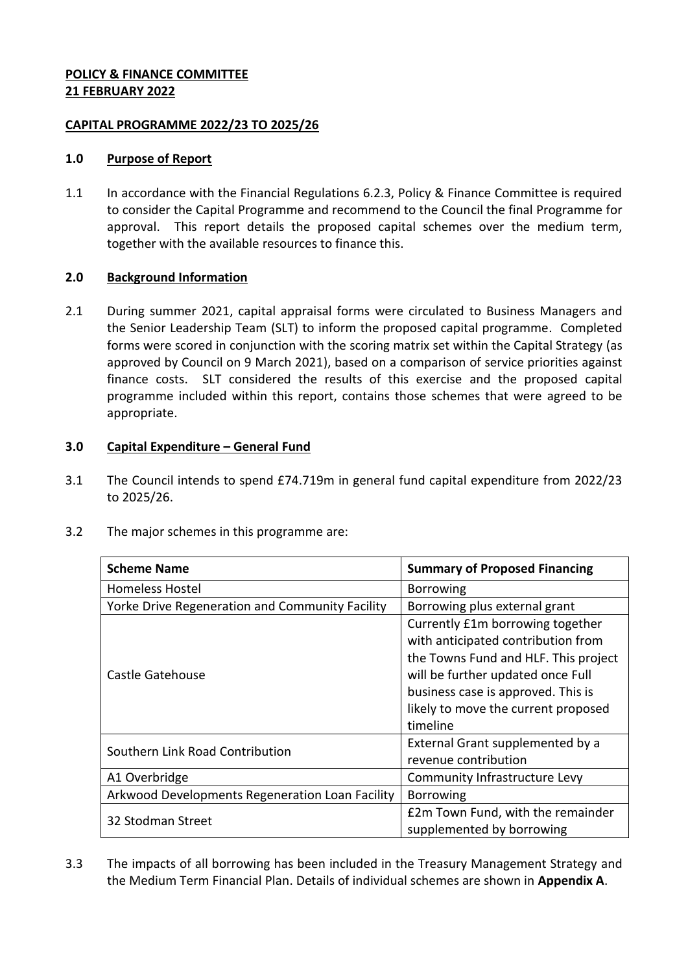## **POLICY & FINANCE COMMITTEE 21 FEBRUARY 2022**

## **CAPITAL PROGRAMME 2022/23 TO 2025/26**

## **1.0 Purpose of Report**

1.1 In accordance with the Financial Regulations 6.2.3, Policy & Finance Committee is required to consider the Capital Programme and recommend to the Council the final Programme for approval. This report details the proposed capital schemes over the medium term, together with the available resources to finance this.

# **2.0 Background Information**

2.1 During summer 2021, capital appraisal forms were circulated to Business Managers and the Senior Leadership Team (SLT) to inform the proposed capital programme. Completed forms were scored in conjunction with the scoring matrix set within the Capital Strategy (as approved by Council on 9 March 2021), based on a comparison of service priorities against finance costs. SLT considered the results of this exercise and the proposed capital programme included within this report, contains those schemes that were agreed to be appropriate.

## **3.0 Capital Expenditure – General Fund**

- 3.1 The Council intends to spend £74.719m in general fund capital expenditure from 2022/23 to 2025/26.
- 3.2 The major schemes in this programme are:

| <b>Scheme Name</b>                              | <b>Summary of Proposed Financing</b> |  |
|-------------------------------------------------|--------------------------------------|--|
| <b>Homeless Hostel</b>                          | <b>Borrowing</b>                     |  |
| Yorke Drive Regeneration and Community Facility | Borrowing plus external grant        |  |
|                                                 | Currently £1m borrowing together     |  |
|                                                 | with anticipated contribution from   |  |
| Castle Gatehouse                                | the Towns Fund and HLF. This project |  |
|                                                 | will be further updated once Full    |  |
|                                                 | business case is approved. This is   |  |
|                                                 | likely to move the current proposed  |  |
|                                                 | timeline                             |  |
| Southern Link Road Contribution                 | External Grant supplemented by a     |  |
|                                                 | revenue contribution                 |  |
| A1 Overbridge                                   | Community Infrastructure Levy        |  |
| Arkwood Developments Regeneration Loan Facility | <b>Borrowing</b>                     |  |
| 32 Stodman Street                               | £2m Town Fund, with the remainder    |  |
|                                                 | supplemented by borrowing            |  |

3.3 The impacts of all borrowing has been included in the Treasury Management Strategy and the Medium Term Financial Plan. Details of individual schemes are shown in **Appendix A**.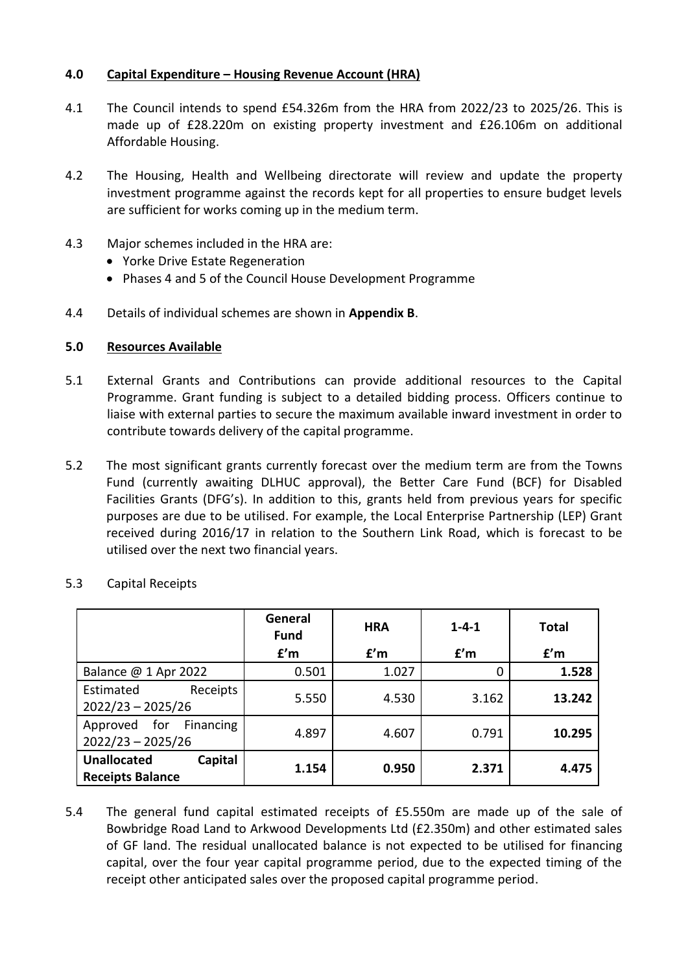## **4.0 Capital Expenditure – Housing Revenue Account (HRA)**

- 4.1 The Council intends to spend £54.326m from the HRA from 2022/23 to 2025/26. This is made up of £28.220m on existing property investment and £26.106m on additional Affordable Housing.
- 4.2 The Housing, Health and Wellbeing directorate will review and update the property investment programme against the records kept for all properties to ensure budget levels are sufficient for works coming up in the medium term.
- 4.3 Major schemes included in the HRA are:
	- Yorke Drive Estate Regeneration
	- Phases 4 and 5 of the Council House Development Programme
- 4.4 Details of individual schemes are shown in **Appendix B**.

#### **5.0 Resources Available**

- 5.1 External Grants and Contributions can provide additional resources to the Capital Programme. Grant funding is subject to a detailed bidding process. Officers continue to liaise with external parties to secure the maximum available inward investment in order to contribute towards delivery of the capital programme.
- 5.2 The most significant grants currently forecast over the medium term are from the Towns Fund (currently awaiting DLHUC approval), the Better Care Fund (BCF) for Disabled Facilities Grants (DFG's). In addition to this, grants held from previous years for specific purposes are due to be utilised. For example, the Local Enterprise Partnership (LEP) Grant received during 2016/17 in relation to the Southern Link Road, which is forecast to be utilised over the next two financial years.

|                                                          | General<br><b>Fund</b> | <b>HRA</b> | $1 - 4 - 1$ | <b>Total</b> |
|----------------------------------------------------------|------------------------|------------|-------------|--------------|
|                                                          | f'm                    | f'm        | f'm         | f'm          |
| Balance @ 1 Apr 2022                                     | 0.501                  | 1.027      | 0           | 1.528        |
| Estimated<br>Receipts<br>$2022/23 - 2025/26$             | 5.550                  | 4.530      | 3.162       | 13.242       |
| Approved for<br>Financing<br>$2022/23 - 2025/26$         | 4.897                  | 4.607      | 0.791       | 10.295       |
| <b>Unallocated</b><br>Capital<br><b>Receipts Balance</b> | 1.154                  | 0.950      | 2.371       | 4.475        |

5.3 Capital Receipts

5.4 The general fund capital estimated receipts of £5.550m are made up of the sale of Bowbridge Road Land to Arkwood Developments Ltd (£2.350m) and other estimated sales of GF land. The residual unallocated balance is not expected to be utilised for financing capital, over the four year capital programme period, due to the expected timing of the receipt other anticipated sales over the proposed capital programme period.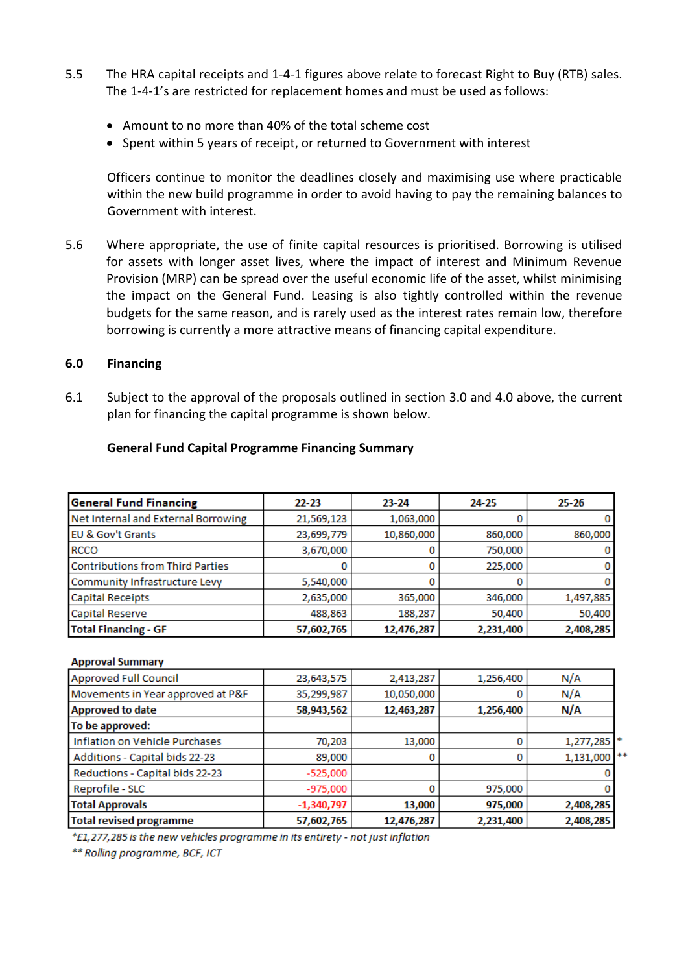- 5.5 The HRA capital receipts and 1-4-1 figures above relate to forecast Right to Buy (RTB) sales. The 1-4-1's are restricted for replacement homes and must be used as follows:
	- Amount to no more than 40% of the total scheme cost
	- Spent within 5 years of receipt, or returned to Government with interest

Officers continue to monitor the deadlines closely and maximising use where practicable within the new build programme in order to avoid having to pay the remaining balances to Government with interest.

5.6 Where appropriate, the use of finite capital resources is prioritised. Borrowing is utilised for assets with longer asset lives, where the impact of interest and Minimum Revenue Provision (MRP) can be spread over the useful economic life of the asset, whilst minimising the impact on the General Fund. Leasing is also tightly controlled within the revenue budgets for the same reason, and is rarely used as the interest rates remain low, therefore borrowing is currently a more attractive means of financing capital expenditure.

#### **6.0 Financing**

6.1 Subject to the approval of the proposals outlined in section 3.0 and 4.0 above, the current plan for financing the capital programme is shown below.

| <b>General Fund Financing</b>           | $22 - 23$  | $23 - 24$  | 24-25     | $25 - 26$ |
|-----------------------------------------|------------|------------|-----------|-----------|
| Net Internal and External Borrowing     | 21,569,123 | 1,063,000  |           |           |
| <b>EU &amp; Gov't Grants</b>            | 23,699,779 | 10,860,000 | 860,000   | 860,000   |
| <b>RCCO</b>                             | 3,670,000  |            | 750,000   |           |
| <b>Contributions from Third Parties</b> |            |            | 225,000   | 0.        |
| Community Infrastructure Levy           | 5,540,000  |            |           |           |
| <b>Capital Receipts</b>                 | 2,635,000  | 365,000    | 346,000   | 1,497,885 |
| Capital Reserve                         | 488,863    | 188,287    | 50,400    | 50,400    |
| <b>Total Financing - GF</b>             | 57,602,765 | 12,476,287 | 2,231,400 | 2,408,285 |

#### **General Fund Capital Programme Financing Summary**

#### **Approval Summary**

| <b>Approved Full Council</b>      | 23,643,575   | 2,413,287  | 1,256,400 | N/A            |
|-----------------------------------|--------------|------------|-----------|----------------|
| Movements in Year approved at P&F | 35,299,987   | 10,050,000 |           | N/A            |
| <b>Approved to date</b>           | 58,943,562   | 12,463,287 | 1,256,400 | N/A            |
| To be approved:                   |              |            |           |                |
| Inflation on Vehicle Purchases    | 70,203       | 13,000     | 0         | 1,277,285      |
| Additions - Capital bids 22-23    | 89,000       | 0          | 0         | $1,131,000$ ** |
| Reductions - Capital bids 22-23   | $-525,000$   |            |           |                |
| Reprofile - SLC                   | -975,000     | 0          | 975,000   |                |
| <b>Total Approvals</b>            | $-1,340,797$ | 13,000     | 975,000   | 2,408,285      |
| <b>Total revised programme</b>    | 57,602,765   | 12,476,287 | 2,231,400 | 2,408,285      |

\*£1,277,285 is the new vehicles programme in its entirety - not just inflation

\*\* Rolling programme, BCF, ICT